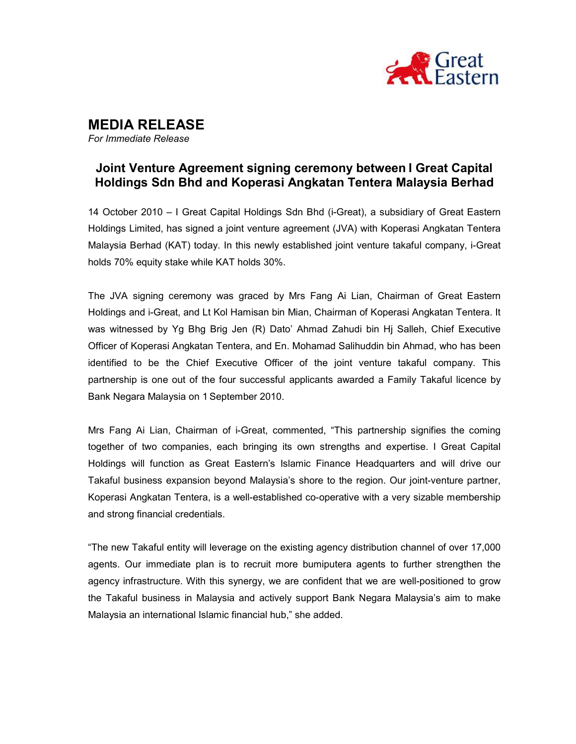

MEDIA RELEASE For Immediate Release

## Joint Venture Agreement signing ceremony between I Great Capital Holdings Sdn Bhd and Koperasi Angkatan Tentera Malaysia Berhad

14 October 2010 – I Great Capital Holdings Sdn Bhd (i-Great), a subsidiary of Great Eastern Holdings Limited, has signed a joint venture agreement (JVA) with Koperasi Angkatan Tentera Malaysia Berhad (KAT) today. In this newly established joint venture takaful company, i-Great holds 70% equity stake while KAT holds 30%.

The JVA signing ceremony was graced by Mrs Fang Ai Lian, Chairman of Great Eastern Holdings and i-Great, and Lt Kol Hamisan bin Mian, Chairman of Koperasi Angkatan Tentera. It was witnessed by Yg Bhg Brig Jen (R) Dato' Ahmad Zahudi bin Hj Salleh, Chief Executive Officer of Koperasi Angkatan Tentera, and En. Mohamad Salihuddin bin Ahmad, who has been identified to be the Chief Executive Officer of the joint venture takaful company. This partnership is one out of the four successful applicants awarded a Family Takaful licence by Bank Negara Malaysia on 1 September 2010.

Mrs Fang Ai Lian, Chairman of i-Great, commented, "This partnership signifies the coming together of two companies, each bringing its own strengths and expertise. I Great Capital Holdings will function as Great Eastern's Islamic Finance Headquarters and will drive our Takaful business expansion beyond Malaysia's shore to the region. Our joint-venture partner, Koperasi Angkatan Tentera, is a well-established co-operative with a very sizable membership and strong financial credentials.

"The new Takaful entity will leverage on the existing agency distribution channel of over 17,000 agents. Our immediate plan is to recruit more bumiputera agents to further strengthen the agency infrastructure. With this synergy, we are confident that we are well-positioned to grow the Takaful business in Malaysia and actively support Bank Negara Malaysia's aim to make Malaysia an international Islamic financial hub," she added.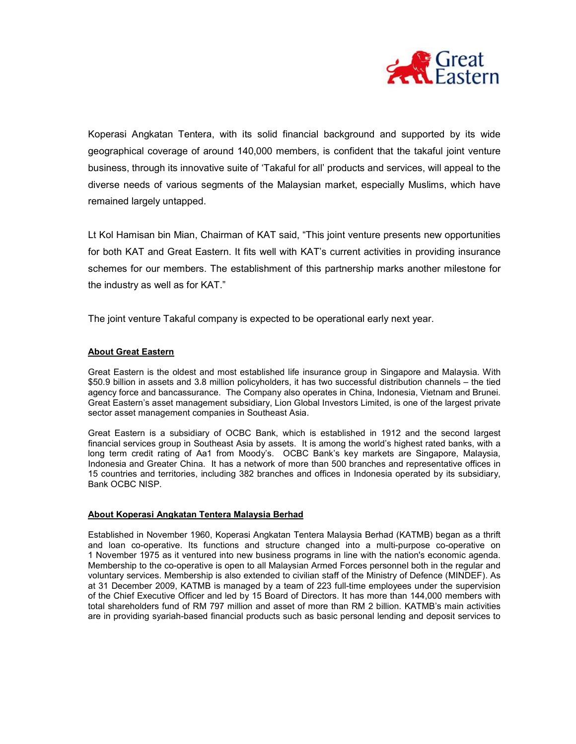

Koperasi Angkatan Tentera, with its solid financial background and supported by its wide geographical coverage of around 140,000 members, is confident that the takaful joint venture business, through its innovative suite of 'Takaful for all' products and services, will appeal to the diverse needs of various segments of the Malaysian market, especially Muslims, which have remained largely untapped.

Lt Kol Hamisan bin Mian, Chairman of KAT said, "This joint venture presents new opportunities for both KAT and Great Eastern. It fits well with KAT's current activities in providing insurance schemes for our members. The establishment of this partnership marks another milestone for the industry as well as for KAT."

The joint venture Takaful company is expected to be operational early next year.

## About Great Eastern

Great Eastern is the oldest and most established life insurance group in Singapore and Malaysia. With \$50.9 billion in assets and 3.8 million policyholders, it has two successful distribution channels – the tied agency force and bancassurance. The Company also operates in China, Indonesia, Vietnam and Brunei. Great Eastern's asset management subsidiary, Lion Global Investors Limited, is one of the largest private sector asset management companies in Southeast Asia.

Great Eastern is a subsidiary of OCBC Bank, which is established in 1912 and the second largest financial services group in Southeast Asia by assets. It is among the world's highest rated banks, with a long term credit rating of Aa1 from Moody's. OCBC Bank's key markets are Singapore, Malaysia, Indonesia and Greater China. It has a network of more than 500 branches and representative offices in 15 countries and territories, including 382 branches and offices in Indonesia operated by its subsidiary, Bank OCBC NISP.

## About Koperasi Angkatan Tentera Malaysia Berhad

Established in November 1960, Koperasi Angkatan Tentera Malaysia Berhad (KATMB) began as a thrift and loan co-operative. Its functions and structure changed into a multi-purpose co-operative on 1 November 1975 as it ventured into new business programs in line with the nation's economic agenda. Membership to the co-operative is open to all Malaysian Armed Forces personnel both in the regular and voluntary services. Membership is also extended to civilian staff of the Ministry of Defence (MINDEF). As at 31 December 2009, KATMB is managed by a team of 223 full-time employees under the supervision of the Chief Executive Officer and led by 15 Board of Directors. It has more than 144,000 members with total shareholders fund of RM 797 million and asset of more than RM 2 billion. KATMB's main activities are in providing syariah-based financial products such as basic personal lending and deposit services to